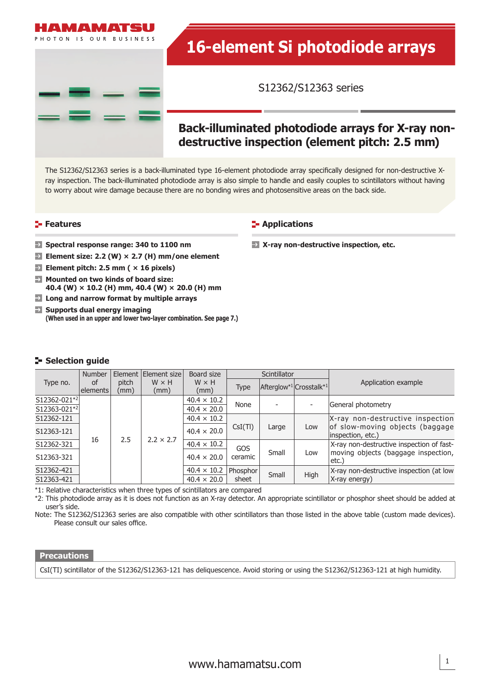

# **16-element Si photodiode arrays**

S12362/S12363 series

# **Back-illuminated photodiode arrays for X-ray nondestructive inspection (element pitch: 2.5 mm)**

**X-ray non-destructive inspection, etc.**

The S12362/S12363 series is a back-illuminated type 16-element photodiode array specifically designed for non-destructive Xray inspection. The back-illuminated photodiode array is also simple to handle and easily couples to scintillators without having to worry about wire damage because there are no bonding wires and photosensitive areas on the back side.

**Applications** 

#### **Features**

- **Spectral response range: 340 to 1100 nm**
- **Element size: 2.2 (W) × 2.7 (H) mm/one element**
- **Element pitch: 2.5 mm ( × 16 pixels)**
- **Mounted on two kinds of board size: 40.4 (W) × 10.2 (H) mm, 40.4 (W) × 20.0 (H) mm**
- **Long and narrow format by multiple arrays**
- **Supports dual energy imaging (When used in an upper and lower two-layer combination. See page 7.)**

#### **Selection quide**

|              | <b>Number</b> | Element <sup>1</sup> | Element size<br>$W \times H$ | Board size         | <b>Scintillator</b> |                                                 |      |                                                                                                                                                                                       |
|--------------|---------------|----------------------|------------------------------|--------------------|---------------------|-------------------------------------------------|------|---------------------------------------------------------------------------------------------------------------------------------------------------------------------------------------|
| Type no.     | of            | pitch                |                              | $W \times H$       |                     | Afterglow <sup>*1</sup> Crosstalk <sup>*1</sup> |      | Application example                                                                                                                                                                   |
|              | elements      | (mm)                 | (mm)                         | (mm)               | <b>Type</b>         |                                                 |      |                                                                                                                                                                                       |
| S12362-021*2 | 16            | 2.5                  | $2.2 \times 2.7$             | $40.4 \times 10.2$ | None                |                                                 |      | General photometry                                                                                                                                                                    |
| S12363-021*2 |               |                      |                              | $40.4 \times 20.0$ |                     |                                                 |      |                                                                                                                                                                                       |
| S12362-121   |               |                      |                              | $40.4 \times 10.2$ | CsI(TI)             | Large                                           | Low  | X-ray non-destructive inspection<br>of slow-moving objects (baggage<br>inspection, etc.)<br>X-ray non-destructive inspection of fast-<br>moving objects (baggage inspection,<br>etc.) |
| S12363-121   |               |                      |                              | $40.4 \times 20.0$ |                     |                                                 |      |                                                                                                                                                                                       |
| S12362-321   |               |                      |                              | $40.4 \times 10.2$ | GOS<br>ceramic      | Small                                           | Low  |                                                                                                                                                                                       |
| S12363-321   |               |                      |                              | $40.4 \times 20.0$ |                     |                                                 |      |                                                                                                                                                                                       |
| S12362-421   |               |                      |                              | $40.4 \times 10.2$ | Phosphor<br>sheet   | Small                                           | High | X-ray non-destructive inspection (at low                                                                                                                                              |
| S12363-421   |               |                      |                              | $40.4 \times 20.0$ |                     |                                                 |      | X-ray energy)                                                                                                                                                                         |

\*1: Relative characteristics when three types of scintillators are compared

\*2: This photodiode array as it is does not function as an X-ray detector. An appropriate scintillator or phosphor sheet should be added at user's side.

Note: The S12362/S12363 series are also compatible with other scintillators than those listed in the above table (custom made devices). Please consult our sales office.

#### **Precautions**

CsI(TI) scintillator of the S12362/S12363-121 has deliquescence. Avoid storing or using the S12362/S12363-121 at high humidity.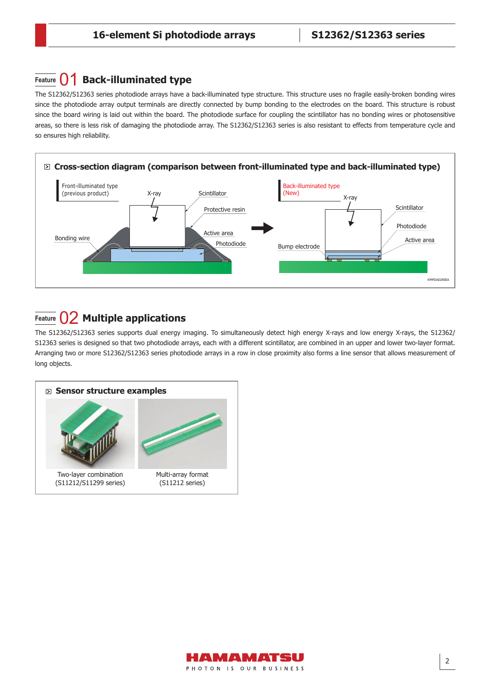# **Feature**  $\bigcap$  **Back-illuminated type**

The S12362/S12363 series photodiode arrays have a back-illuminated type structure. This structure uses no fragile easily-broken bonding wires since the photodiode array output terminals are directly connected by bump bonding to the electrodes on the board. This structure is robust since the board wiring is laid out within the board. The photodiode surface for coupling the scintillator has no bonding wires or photosensitive areas, so there is less risk of damaging the photodiode array. The S12362/S12363 series is also resistant to effects from temperature cycle and so ensures high reliability.



# **Feature** 02 **Multiple applications**

The S12362/S12363 series supports dual energy imaging. To simultaneously detect high energy X-rays and low energy X-rays, the S12362/ S12363 series is designed so that two photodiode arrays, each with a different scintillator, are combined in an upper and lower two-layer format. Arranging two or more S12362/S12363 series photodiode arrays in a row in close proximity also forms a line sensor that allows measurement of long objects.



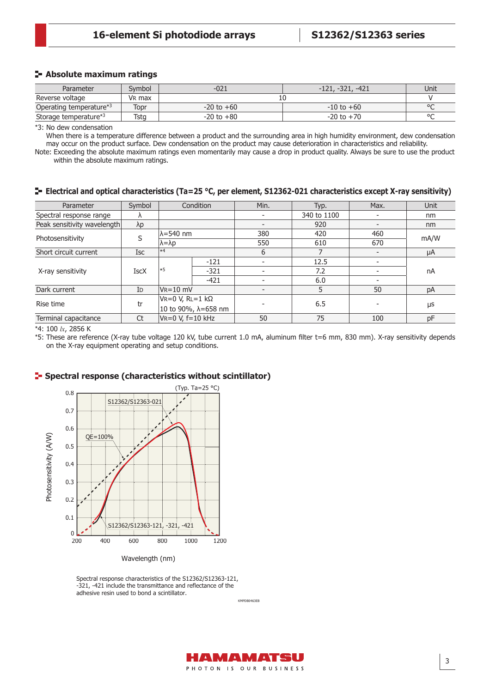#### **Absolute maximum ratings**

| Parameter               | Svmbol             | $-021$         | $-321,$<br>$-421$<br>$-121.$ | Unit    |
|-------------------------|--------------------|----------------|------------------------------|---------|
| Reverse voltage         | V <sub>R</sub> max | TÛ             |                              |         |
| Operating temperature*3 | Topr               | $-20$ to $+60$ | $-10$ to $+60$               | $\circ$ |
| Storage temperature*3   | Tsta               | $-20$ to $+80$ | $-20$ to $+70$               | $\circ$ |

\*3: No dew condensation

When there is a temperature difference between a product and the surrounding area in high humidity environment, dew condensation may occur on the product surface. Dew condensation on the product may cause deterioration in characteristics and reliability.

Note: Exceeding the absolute maximum ratings even momentarily may cause a drop in product quality. Always be sure to use the product within the absolute maximum ratings.

#### **Electrical and optical characteristics (Ta=25 °C, per element, S12362-021 characteristics except X-ray sensitivity)**

| Parameter                   | Symbol         | Condition                |        | Min.                     | Typ.        | Max. | Unit |
|-----------------------------|----------------|--------------------------|--------|--------------------------|-------------|------|------|
| Spectral response range     | Λ              |                          |        |                          | 340 to 1100 |      | nm   |
| Peak sensitivity wavelength | $\lambda p$    |                          |        | $\overline{\phantom{0}}$ | 920         |      | nm   |
|                             | S              | lλ=540 nm                |        | 380                      | 420         | 460  | mA/W |
| Photosensitivity            |                | $\lambda = \lambda p$    |        | 550                      | 610         | 670  |      |
| Short circuit current       | Isc            | $\ast$ 4                 |        | 6                        |             |      | μA   |
|                             |                | ∗5                       | $-121$ | $\overline{\phantom{a}}$ | 12.5        |      | nA   |
| X-ray sensitivity           | <b>IscX</b>    |                          | $-321$ | $\overline{\phantom{a}}$ | 7.2         |      |      |
|                             |                |                          | $-421$ | $\overline{\phantom{0}}$ | 6.0         |      |      |
| Dark current                | I <sub>D</sub> | $V_{R} = 10$ mV          |        | $\overline{\phantom{0}}$ | 5           | 50   | pA   |
|                             |                | $V = 0 V, R = 1 k\Omega$ |        |                          |             |      | μs   |
| Rise time                   | tr             | 10 to 90%, λ=658 nm      |        |                          | 6.5         |      |      |
| Terminal capacitance        | Ct             | VR=0 V, f=10 kHz         |        | 50                       | 75          | 100  | pF   |

\*4: 100 *lx*, 2856 K

\*5: These are reference (X-ray tube voltage 120 kV, tube current 1.0 mA, aluminum fi lter t=6 mm, 830 mm). X-ray sensitivity depends on the X-ray equipment operating and setup conditions.

#### **Spectral response (characteristics without scintillator)**



Spectral response characteristics of the S12362/S12363-121, -321, -421 include the transmittance and reflectance of the adhesive resin used to bond a scintillator.

KMPDB0463EB

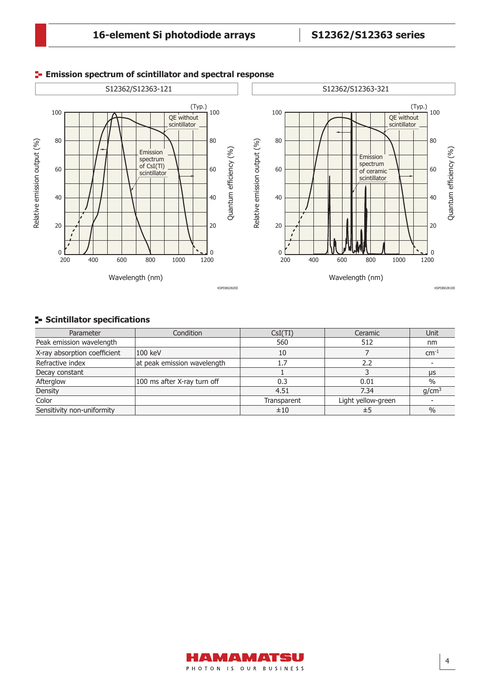

#### **Emission spectrum of scintillator and spectral response**

### **F-** Scintillator specifications

| Parameter                    | Condition                   | CsI(TI)     | Ceramic            | Unit              |
|------------------------------|-----------------------------|-------------|--------------------|-------------------|
| Peak emission wavelength     |                             | 560         | 512                | nm                |
| X-ray absorption coefficient | 100 keV                     | 10          |                    | $\text{cm}^{-1}$  |
| Refractive index             | at peak emission wavelength | 1.7         | 2.2                |                   |
| Decay constant               |                             |             |                    | μs                |
| Afterglow                    | 100 ms after X-ray turn off | 0.3         | 0.01               | $\%$              |
| Density                      |                             | 4.51        | 7.34               | q/cm <sup>3</sup> |
| Color                        |                             | Transparent | Light yellow-green |                   |
| Sensitivity non-uniformity   |                             | ±10         | ±5                 | $\frac{0}{0}$     |

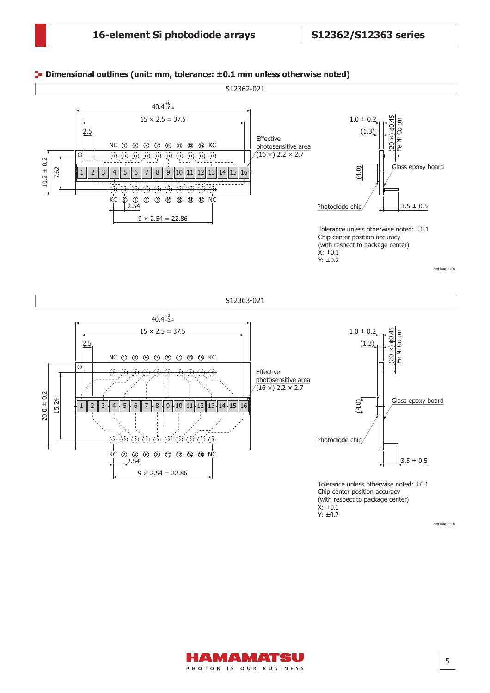#### **Dimensional outlines (unit: mm, tolerance: ±0.1 mm unless otherwise noted)**



(with respect to package center)  $X: \pm 0.1$ Y: ±0.2

KMPDA0333EA

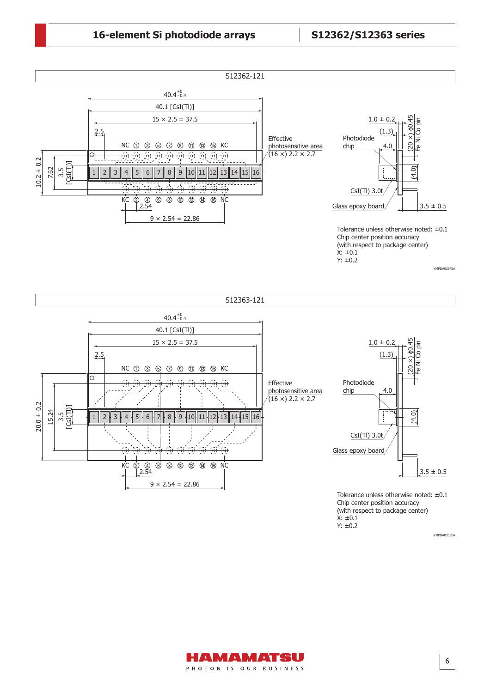

(with respect to package center)  $X: \pm 0.1$ Y: ±0.2

KMPDA0335EA

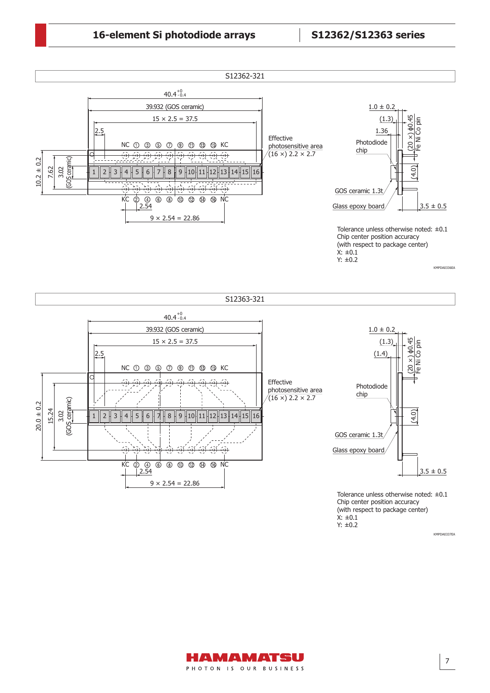



KMPDA0337EA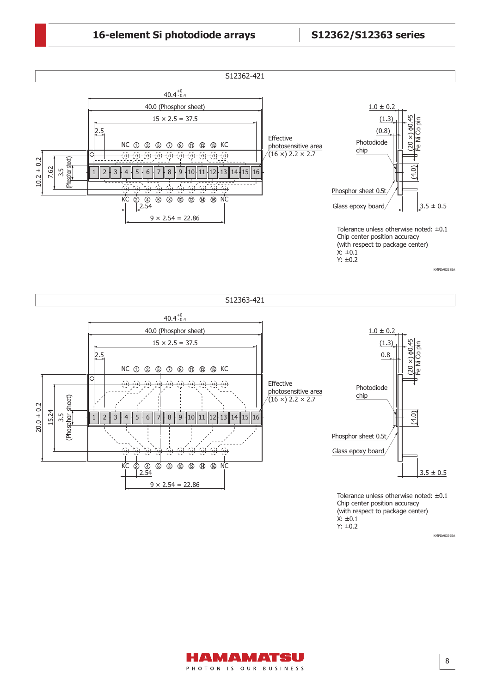

(with respect to package center)  $X: \pm 0.1$ Y: ±0.2

KMPDA0339EA